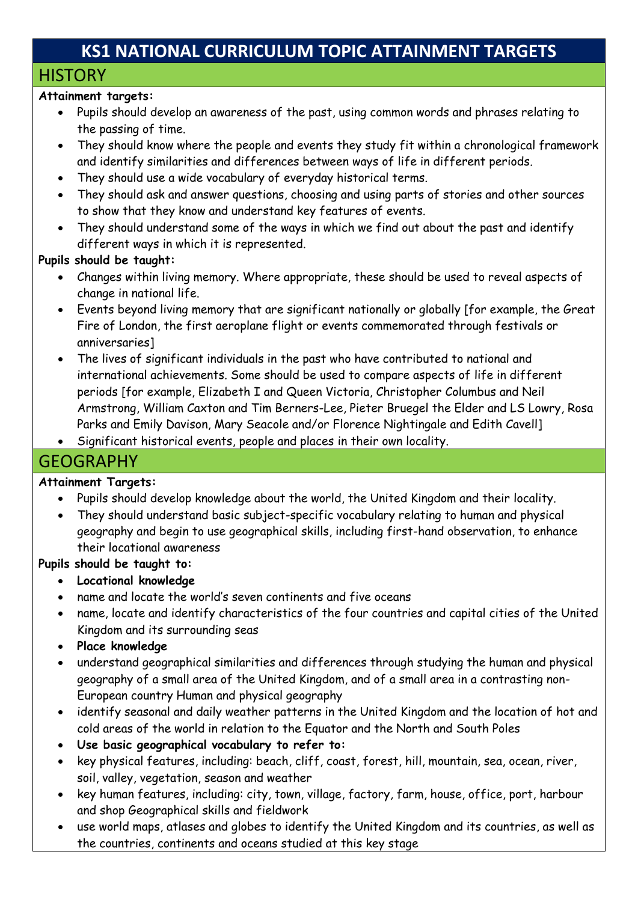# **KS1 NATIONAL CURRICULUM TOPIC ATTAINMENT TARGETS**

## **HISTORY**

#### **Attainment targets:**

- Pupils should develop an awareness of the past, using common words and phrases relating to the passing of time.
- They should know where the people and events they study fit within a chronological framework and identify similarities and differences between ways of life in different periods.
- They should use a wide vocabulary of everyday historical terms.
- They should ask and answer questions, choosing and using parts of stories and other sources to show that they know and understand key features of events.
- They should understand some of the ways in which we find out about the past and identify different ways in which it is represented.

## **Pupils should be taught:**

- Changes within living memory. Where appropriate, these should be used to reveal aspects of change in national life.
- Events beyond living memory that are significant nationally or globally [for example, the Great Fire of London, the first aeroplane flight or events commemorated through festivals or anniversaries]
- The lives of significant individuals in the past who have contributed to national and international achievements. Some should be used to compare aspects of life in different periods [for example, Elizabeth I and Queen Victoria, Christopher Columbus and Neil Armstrong, William Caxton and Tim Berners-Lee, Pieter Bruegel the Elder and LS Lowry, Rosa Parks and Emily Davison, Mary Seacole and/or Florence Nightingale and Edith Cavell]

Significant historical events, people and places in their own locality.

## **GEOGRAPHY**

### **Attainment Targets:**

- Pupils should develop knowledge about the world, the United Kingdom and their locality.
- They should understand basic subject-specific vocabulary relating to human and physical geography and begin to use geographical skills, including first-hand observation, to enhance their locational awareness

### **Pupils should be taught to:**

- **Locational knowledge**
- name and locate the world's seven continents and five oceans
- name, locate and identify characteristics of the four countries and capital cities of the United Kingdom and its surrounding seas
- **Place knowledge**
- understand geographical similarities and differences through studying the human and physical geography of a small area of the United Kingdom, and of a small area in a contrasting non-European country Human and physical geography
- identify seasonal and daily weather patterns in the United Kingdom and the location of hot and cold areas of the world in relation to the Equator and the North and South Poles
- **Use basic geographical vocabulary to refer to:**
- key physical features, including: beach, cliff, coast, forest, hill, mountain, sea, ocean, river, soil, valley, vegetation, season and weather
- key human features, including: city, town, village, factory, farm, house, office, port, harbour and shop Geographical skills and fieldwork
- use world maps, atlases and globes to identify the United Kingdom and its countries, as well as the countries, continents and oceans studied at this key stage